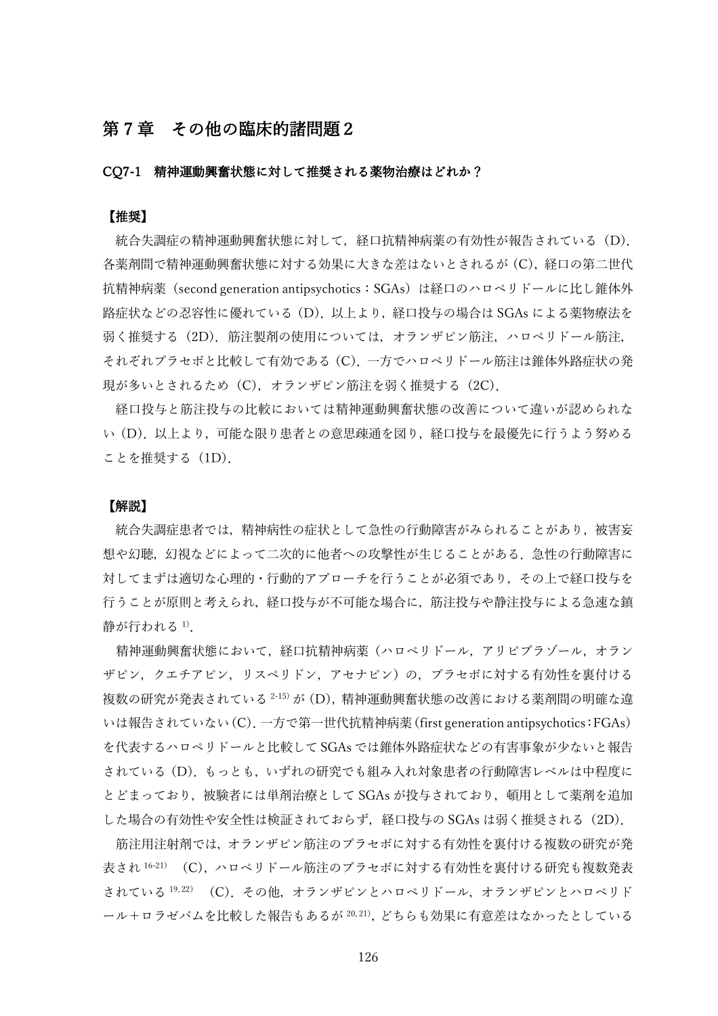# 第7章 その他の臨床的諸問題2

## CQ7-1 精神運動興奮状態に対して推奨される薬物治療はどれか?

### 【推奨】

統合失調症の精神運動興奮状態に対して, 経口抗精神病薬の有効性が報告されている (D). 各薬剤間で精神運動興奮状態に対する効果に大きな差はないとされるが(C),経口の第二世代 抗精神病薬(second generation antipsychotics:SGAs)は経口のハロペリドールに比し錐体外 路症状などの忍容性に優れている(D).以上より,経口投与の場合は SGAs による薬物療法を 弱く推奨する(2D). 筋注製剤の使用については、オランザピン筋注, ハロペリドール筋注, それぞれプラセボと比較して有効である(C).一方でハロペリドール筋注は錐体外路症状の発 現が多いとされるため (C), オランザピン筋注を弱く推奨する (2C).

経口投与と筋注投与の比較においては精神運動興奮状態の改善について違いが認められな い(D).以上より,可能な限り患者との意思疎通を図り,経口投与を最優先に行うよう努める ことを推奨する(1D).

#### 【解説】

統合失調症患者では,精神病性の症状として急性の行動障害がみられることがあり,被害妄 想や幻聴,幻視などによって二次的に他者への攻撃性が生じることがある.急性の行動障害に 対してまずは適切な心理的・行動的アプローチを行うことが必須であり,その上で経口投与を 行うことが原則と考えられ,経口投与が不可能な場合に,筋注投与や静注投与による急速な鎮 静が行われる <sup>1</sup>).

精神運動興奮状態において、経口抗精神病薬(ハロペリドール、アリピプラゾール、オラン ザピン,クエチアピン,リスペリドン,アセナピン)の,プラセボに対する有効性を裏付ける 複数の研究が発表されている<sup>2-15)</sup>が (D), 精神運動興奮状態の改善における薬剤間の明確な違 いは報告されていない(C).一方で第一世代抗精神病薬(first generation antipsychotics:FGAs) を代表するハロペリドールと比較して SGAs では錐体外路症状などの有害事象が少ないと報告 されている(D).もっとも,いずれの研究でも組み入れ対象患者の行動障害レベルは中程度に とどまっており,被験者には単剤治療として SGAs が投与されており,頓用として薬剤を追加 した場合の有効性や安全性は検証されておらず、経口投与の SGAs は弱く推奨される (2D).

筋注用注射剤では,オランザピン筋注のプラセボに対する有効性を裏付ける複数の研究が発 表され <sup>16-21)</sup> (C), ハロペリドール筋注のプラセボに対する有効性を裏付ける研究も複数発表 されている<sup>19,22)</sup> (C). その他, オランザピンとハロペリドール, オランザピンとハロペリド ール+ロラゼパムを比較した報告もあるが 20,21), どちらも効果に有意差はなかったとしている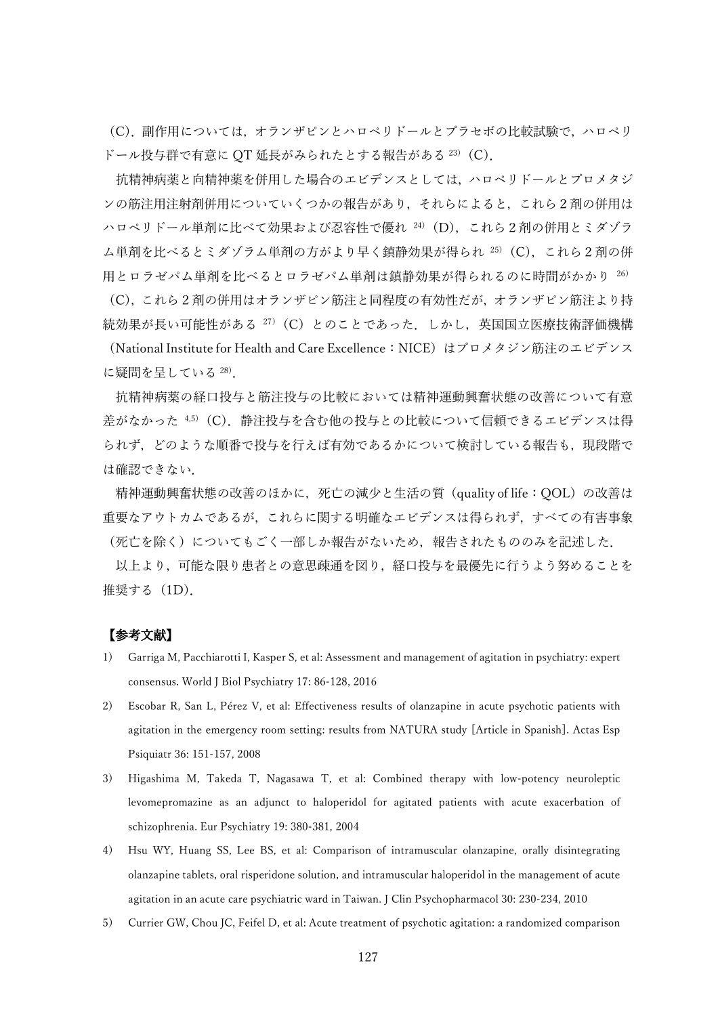(C).副作用については,オランザピンとハロペリドールとプラセボの比較試験で,ハロペリ ドール投与群で有意に OT 延長がみられたとする報告がある $^{23)}$  (C).

抗精神病薬と向精神薬を併用した場合のエビデンスとしては,ハロペリドールとプロメタジ ンの筋注用注射剤併用についていくつかの報告があり,それらによると,これら2剤の併用は ハロペリドール単剤に比べて効果および忍容性で優れ 24) (D), これら2剤の併用とミダゾラ ム単剤を比べるとミダゾラム単剤の方がより早く鎮静効果が得られ 25) (C), これら2剤の併 用とロラゼパム単剤を比べるとロラゼパム単剤は鎮静効果が得られるのに時間がかかり 26)

(C),これら2剤の併用はオランザピン筋注と同程度の有効性だが,オランザピン筋注より持 続効果が長い可能性がある <sup>27</sup>)(C)とのことであった.しかし,英国国立医療技術評価機構 (National Institute for Health and Care Excellence:NICE)はプロメタジン筋注のエビデンス に疑問を呈している <sup>28</sup>).

抗精神病薬の経口投与と筋注投与の比較においては精神運動興奮状態の改善について有意 差がなかった<sup>4,5)</sup>(C). 静注投与を含む他の投与との比較について信頼できるエビデンスは得 られず、どのような順番で投与を行えば有効であるかについて検討している報告も、現段階で は確認できない.

精神運動興奮状態の改善のほかに,死亡の減少と生活の質(quality of life:QOL)の改善は 重要なアウトカムであるが,これらに関する明確なエビデンスは得られず,すべての有害事象 (死亡を除く)についてもごく一部しか報告がないため、報告されたもののみを記述した.

以上より,可能な限り患者との意思疎通を図り,経口投与を最優先に行うよう努めることを 推奨する (1D).

- 1) Garriga M, Pacchiarotti I, Kasper S, et al: Assessment and management of agitation in psychiatry: expert consensus. World J Biol Psychiatry 17: 86-128, 2016
- 2) Escobar R, San L, Pérez V, et al: Effectiveness results of olanzapine in acute psychotic patients with agitation in the emergency room setting: results from NATURA study [Article in Spanish]. Actas Esp Psiquiatr 36: 151-157, 2008
- 3) Higashima M, Takeda T, Nagasawa T, et al: Combined therapy with low-potency neuroleptic levomepromazine as an adjunct to haloperidol for agitated patients with acute exacerbation of schizophrenia. Eur Psychiatry 19: 380-381, 2004
- 4) Hsu WY, Huang SS, Lee BS, et al: Comparison of intramuscular olanzapine, orally disintegrating olanzapine tablets, oral risperidone solution, and intramuscular haloperidol in the management of acute agitation in an acute care psychiatric ward in Taiwan. J Clin Psychopharmacol 30: 230-234, 2010
- 5) Currier GW, Chou JC, Feifel D, et al: Acute treatment of psychotic agitation: a randomized comparison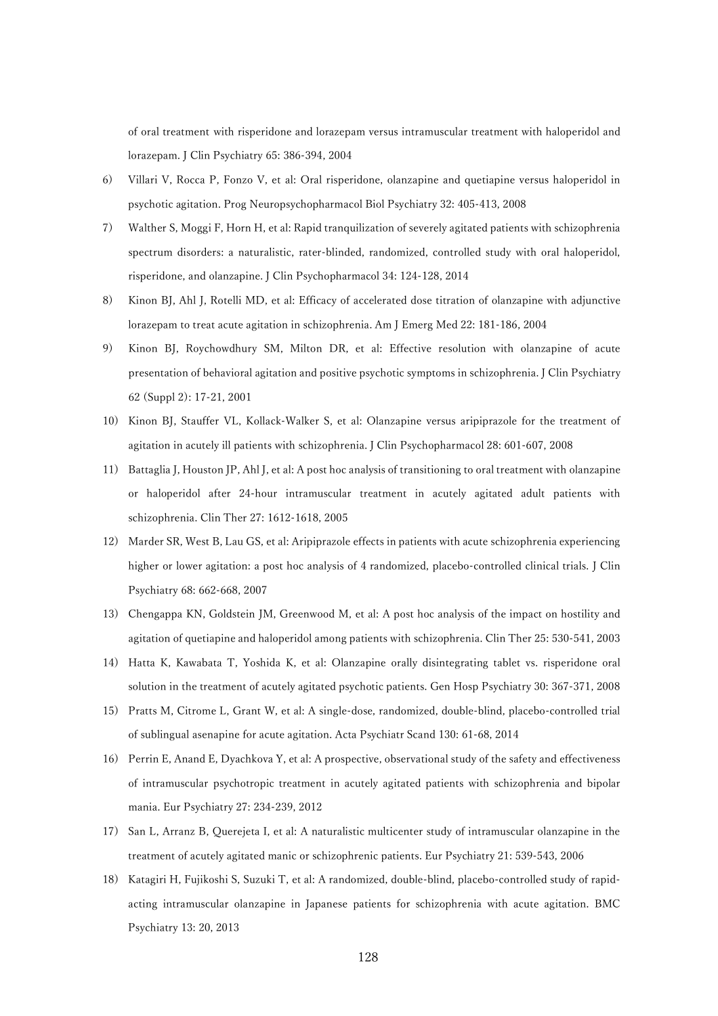of oral treatment with risperidone and lorazepam versus intramuscular treatment with haloperidol and lorazepam. J Clin Psychiatry 65: 386-394, 2004

- 6) Villari V, Rocca P, Fonzo V, et al: Oral risperidone, olanzapine and quetiapine versus haloperidol in psychotic agitation. Prog Neuropsychopharmacol Biol Psychiatry 32: 405-413, 2008
- 7) Walther S, Moggi F, Horn H, et al: Rapid tranquilization of severely agitated patients with schizophrenia spectrum disorders: a naturalistic, rater-blinded, randomized, controlled study with oral haloperidol, risperidone, and olanzapine. J Clin Psychopharmacol 34: 124-128, 2014
- 8) Kinon BJ, Ahl J, Rotelli MD, et al: Efficacy of accelerated dose titration of olanzapine with adjunctive lorazepam to treat acute agitation in schizophrenia. Am J Emerg Med 22: 181-186, 2004
- 9) Kinon BJ, Roychowdhury SM, Milton DR, et al: Effective resolution with olanzapine of acute presentation of behavioral agitation and positive psychotic symptoms in schizophrenia. J Clin Psychiatry 62 (Suppl 2): 17-21, 2001
- 10) Kinon BJ, Stauffer VL, Kollack-Walker S, et al: Olanzapine versus aripiprazole for the treatment of agitation in acutely ill patients with schizophrenia. J Clin Psychopharmacol 28: 601-607, 2008
- 11) Battaglia J, Houston JP, Ahl J, et al: A post hoc analysis of transitioning to oral treatment with olanzapine or haloperidol after 24-hour intramuscular treatment in acutely agitated adult patients with schizophrenia. Clin Ther 27: 1612-1618, 2005
- 12) Marder SR, West B, Lau GS, et al: Aripiprazole effects in patients with acute schizophrenia experiencing higher or lower agitation: a post hoc analysis of 4 randomized, placebo-controlled clinical trials. J Clin Psychiatry 68: 662-668, 2007
- 13) Chengappa KN, Goldstein JM, Greenwood M, et al: A post hoc analysis of the impact on hostility and agitation of quetiapine and haloperidol among patients with schizophrenia. Clin Ther 25: 530-541, 2003
- 14) Hatta K, Kawabata T, Yoshida K, et al: Olanzapine orally disintegrating tablet vs. risperidone oral solution in the treatment of acutely agitated psychotic patients. Gen Hosp Psychiatry 30: 367-371, 2008
- 15) Pratts M, Citrome L, Grant W, et al: A single-dose, randomized, double-blind, placebo-controlled trial of sublingual asenapine for acute agitation. Acta Psychiatr Scand 130: 61-68, 2014
- 16) Perrin E, Anand E, Dyachkova Y, et al: A prospective, observational study of the safety and effectiveness of intramuscular psychotropic treatment in acutely agitated patients with schizophrenia and bipolar mania. Eur Psychiatry 27: 234-239, 2012
- 17) San L, Arranz B, Querejeta I, et al: A naturalistic multicenter study of intramuscular olanzapine in the treatment of acutely agitated manic or schizophrenic patients. Eur Psychiatry 21: 539-543, 2006
- 18) Katagiri H, Fujikoshi S, Suzuki T, et al: A randomized, double-blind, placebo-controlled study of rapidacting intramuscular olanzapine in Japanese patients for schizophrenia with acute agitation. BMC Psychiatry 13: 20, 2013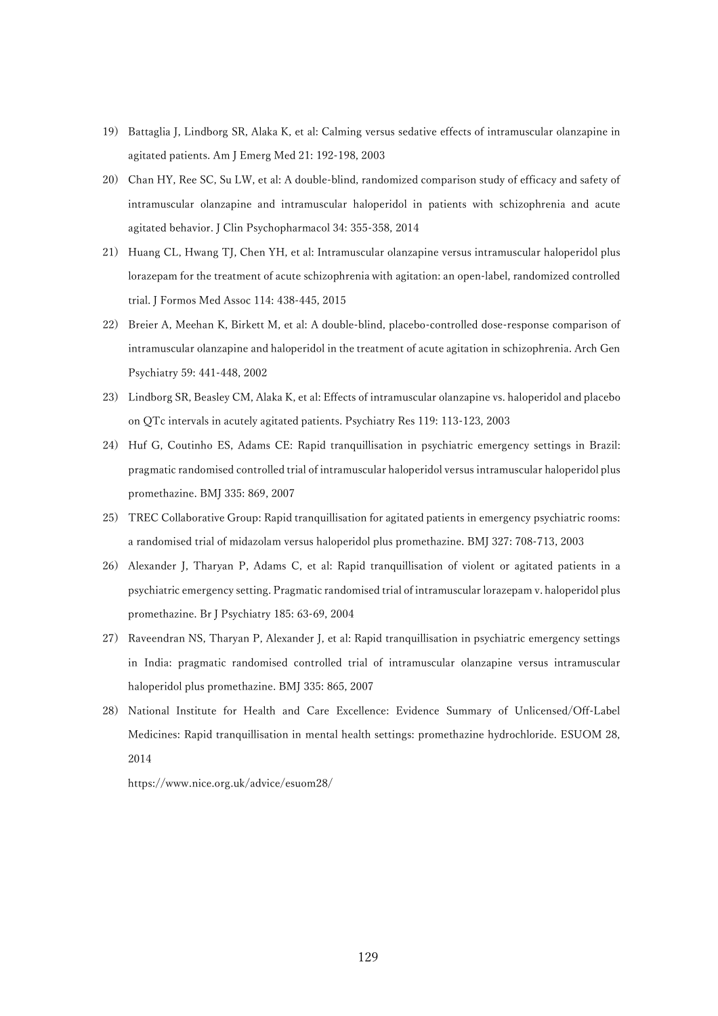- 19) Battaglia J, Lindborg SR, Alaka K, et al: Calming versus sedative effects of intramuscular olanzapine in agitated patients. Am J Emerg Med 21: 192-198, 2003
- 20) Chan HY, Ree SC, Su LW, et al: A double-blind, randomized comparison study of efficacy and safety of intramuscular olanzapine and intramuscular haloperidol in patients with schizophrenia and acute agitated behavior. J Clin Psychopharmacol 34: 355-358, 2014
- 21) Huang CL, Hwang TJ, Chen YH, et al: Intramuscular olanzapine versus intramuscular haloperidol plus lorazepam for the treatment of acute schizophrenia with agitation: an open-label, randomized controlled trial. J Formos Med Assoc 114: 438-445, 2015
- 22) Breier A, Meehan K, Birkett M, et al: A double-blind, placebo-controlled dose-response comparison of intramuscular olanzapine and haloperidol in the treatment of acute agitation in schizophrenia. Arch Gen Psychiatry 59: 441-448, 2002
- 23) Lindborg SR, Beasley CM, Alaka K, et al: Effects of intramuscular olanzapine vs. haloperidol and placebo on QTc intervals in acutely agitated patients. Psychiatry Res 119: 113-123, 2003
- 24) Huf G, Coutinho ES, Adams CE: Rapid tranquillisation in psychiatric emergency settings in Brazil: pragmatic randomised controlled trial of intramuscular haloperidol versus intramuscular haloperidol plus promethazine. BMJ 335: 869, 2007
- 25) TREC Collaborative Group: Rapid tranquillisation for agitated patients in emergency psychiatric rooms: a randomised trial of midazolam versus haloperidol plus promethazine. BMJ 327: 708-713, 2003
- 26) Alexander J, Tharyan P, Adams C, et al: Rapid tranquillisation of violent or agitated patients in a psychiatric emergency setting. Pragmatic randomised trial of intramuscular lorazepam v. haloperidol plus promethazine. Br J Psychiatry 185: 63-69, 2004
- 27) Raveendran NS, Tharyan P, Alexander J, et al: Rapid tranquillisation in psychiatric emergency settings in India: pragmatic randomised controlled trial of intramuscular olanzapine versus intramuscular haloperidol plus promethazine. BMJ 335: 865, 2007
- 28) National Institute for Health and Care Excellence: Evidence Summary of Unlicensed/Off-Label Medicines: Rapid tranquillisation in mental health settings: promethazine hydrochloride. ESUOM 28, 2014

[https://www.nice.org.uk/advice/esuom28/](https://www.nice.org.uk/advice/esuom28)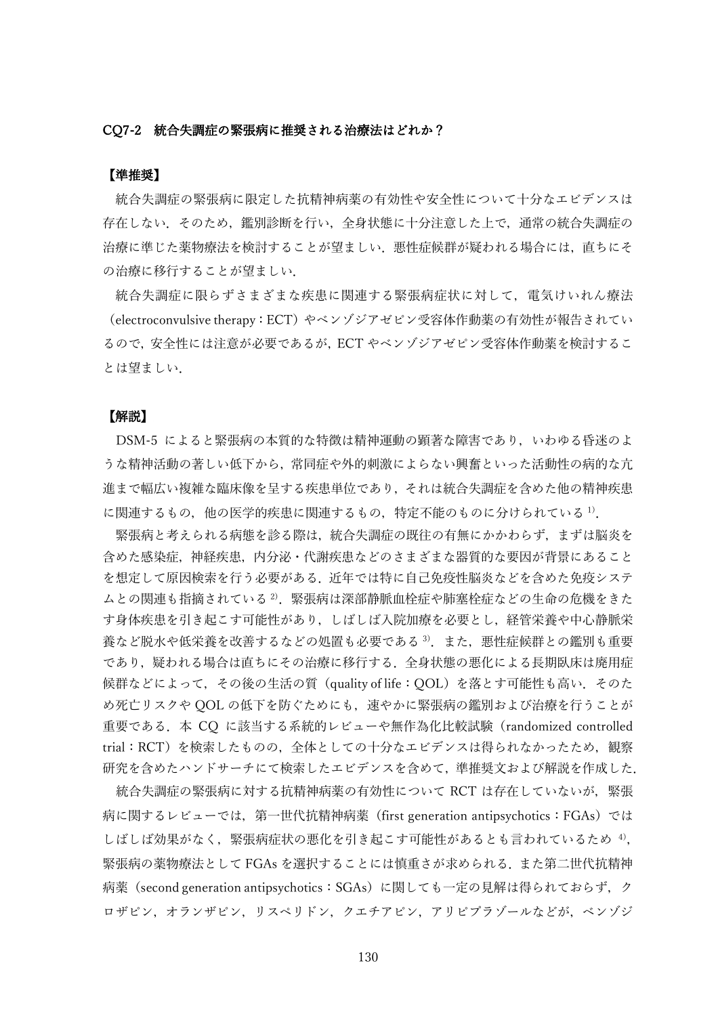#### CQ7-2 統合失調症の緊張病に推奨される治療法はどれか?

# 【準推奨】

統合失調症の緊張病に限定した抗精神病薬の有効性や安全性について十分なエビデンスは 存在しない.そのため,鑑別診断を行い,全身状態に十分注意した上で,通常の統合失調症の 治療に準じた薬物療法を検討することが望ましい. 悪性症候群が疑われる場合には、直ちにそ の治療に移行することが望ましい.

統合失調症に限らずさまざまな疾患に関連する緊張病症状に対して、電気けいれん療法 (electroconvulsive therapy:ECT)やベンゾジアゼピン受容体作動薬の有効性が報告されてい るので,安全性には注意が必要であるが,ECT やベンゾジアゼピン受容体作動薬を検討するこ とは望ましい.

#### 【解説】

DSM-5 によると緊張病の本質的な特徴は精神運動の顕著な障害であり,いわゆる昏迷のよ うな精神活動の著しい低下から,常同症や外的刺激によらない興奮といった活動性の病的な亢 進まで幅広い複雑な臨床像を呈する疾患単位であり,それは統合失調症を含めた他の精神疾患 に関連するもの、他の医学的疾患に関連するもの、特定不能のものに分けられている 1).

緊張病と考えられる病態を診る際は,統合失調症の既往の有無にかかわらず,まずは脳炎を 含めた感染症,神経疾患,内分泌・代謝疾患などのさまざまな器質的な要因が背景にあること を想定して原因検索を行う必要がある.近年では特に自己免疫性脳炎などを含めた免疫システ ムとの関連も指摘されている<sup>2)</sup>. 緊張病は深部静脈血栓症や肺塞栓症などの生命の危機をきた す身体疾患を引き起こす可能性があり,しばしば入院加療を必要とし,経管栄養や中心静脈栄 春など脱水や低栄養を改善するなどの処置も必要である<sup>3)</sup>.また、悪性症候群との鑑別も重要 であり,疑われる場合は直ちにその治療に移行する.全身状態の悪化による長期臥床は廃用症 候群などによって,その後の生活の質(quality of life:QOL)を落とす可能性も高い.そのた め死亡リスクや QOL の低下を防ぐためにも,速やかに緊張病の鑑別および治療を行うことが 重要である.本 CQ に該当する系統的レビューや無作為化比較試験(randomized controlled trial:RCT)を検索したものの,全体としての十分なエビデンスは得られなかったため,観察 研究を含めたハンドサーチにて検索したエビデンスを含めて,準推奨文および解説を作成した.

統合失調症の緊張病に対する抗精神病薬の有効性について RCT は存在していないが、緊張 病に関するレビューでは,第一世代抗精神病薬(first generation antipsychotics:FGAs)では しばしば効果がなく,緊張病症状の悪化を引き起こす可能性があるとも言われているため <sup>4</sup>), 緊張病の薬物療法として FGAs を選択することには慎重さが求められる.また第二世代抗精神 病薬(second generation antipsychotics:SGAs)に関しても一定の見解は得られておらず,ク ロザピン,オランザピン,リスペリドン,クエチアピン,アリピプラゾールなどが,ベンゾジ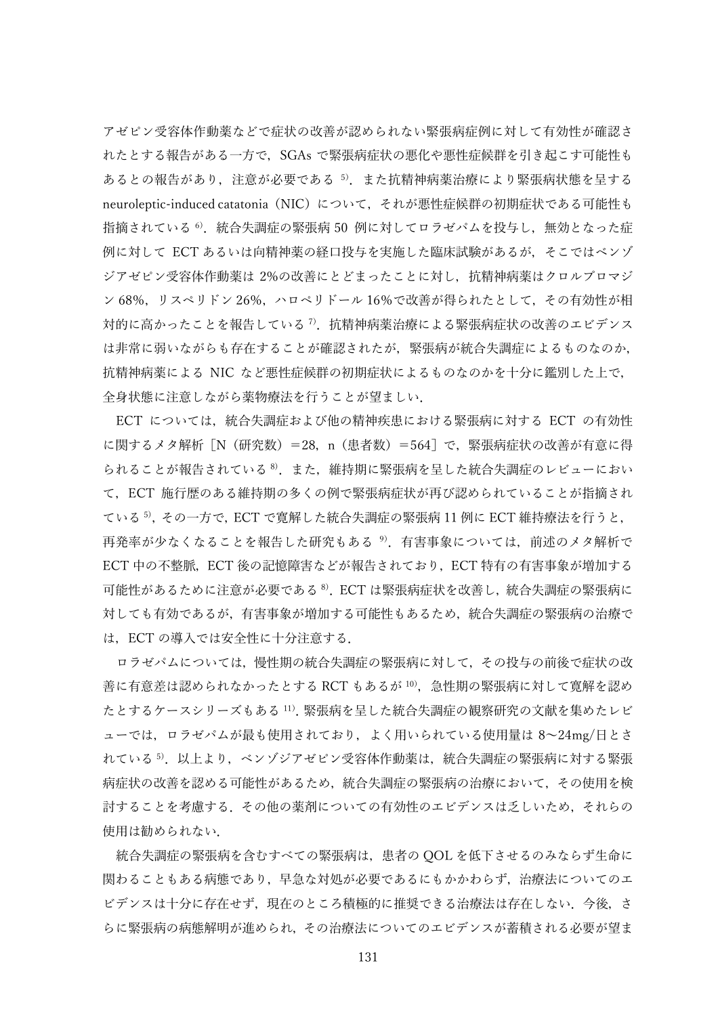アゼピン受容体作動薬などで症状の改善が認められない緊張病症例に対して有効性が確認さ れたとする報告がある一方で,SGAs で緊張病症状の悪化や悪性症候群を引き起こす可能性も あるとの報告があり、注意が必要である 5. また抗精神病薬治療により緊張病状態を呈する neuroleptic-induced catatonia (NIC) について、それが悪性症候群の初期症状である可能性も 指摘されている <sup>6</sup>).統合失調症の緊張病 50 例に対してロラゼパムを投与し,無効となった症 例に対して ECT あるいは向精神薬の経口投与を実施した臨床試験があるが,そこではベンゾ ジアゼピン受容体作動薬は 2%の改善にとどまったことに対し,抗精神病薬はクロルプロマジ ン 68%,リスペリドン 26%,ハロペリドール 16%で改善が得られたとして,その有効性が相 対的に高かったことを報告している <sup>7</sup>).抗精神病薬治療による緊張病症状の改善のエビデンス は非常に弱いながらも存在することが確認されたが,緊張病が統合失調症によるものなのか, 抗精神病薬による NIC など悪性症候群の初期症状によるものなのかを十分に鑑別した上で, 全身状態に注意しながら薬物療法を行うことが望ましい.

ECT については,統合失調症および他の精神疾患における緊張病に対する ECT の有効性 に関するメタ解析「N (研究数) =28, n (患者数) =564] で, 緊張病症状の改善が有意に得 られることが報告されている<sup>8</sup>. また、維持期に緊張病を呈した統合失調症のレビューにおい て,ECT 施行歴のある維持期の多くの例で緊張病症状が再び認められていることが指摘され ている <sup>5)</sup>, その一方で, ECT で寛解した統合失調症の緊張病 11 例に ECT 維持療法を行うと, 再発率が少なくなることを報告した研究もある<sup>9</sup>). 有害事象については、前述のメタ解析で ECT 中の不整脈, ECT 後の記憶障害などが報告されており, ECT 特有の有害事象が増加する 可能性があるために注意が必要である <sup>8</sup>).ECT は緊張病症状を改善し,統合失調症の緊張病に 対しても有効であるが,有害事象が増加する可能性もあるため,統合失調症の緊張病の治療で は,ECT の導入では安全性に十分注意する.

ロラゼパムについては,慢性期の統合失調症の緊張病に対して,その投与の前後で症状の改 善に有意差は認められなかったとする RCT もあるが  $^{10}$ ,急性期の緊張病に対して寛解を認め たとするケースシリーズもある <sup>11</sup>).緊張病を呈した統合失調症の観察研究の文献を集めたレビ ューでは,ロラゼパムが最も使用されており,よく用いられている使用量は 8~24mg/日とさ れている<sup>5)</sup>.以上より,ベンゾジアゼピン受容体作動薬は,統合失調症の緊張病に対する緊張 病症状の改善を認める可能性があるため,統合失調症の緊張病の治療において,その使用を検 討することを考慮する.その他の薬剤についての有効性のエビデンスは乏しいため,それらの 使用は勧められない.

統合失調症の緊張病を含むすべての緊張病は,患者の QOL を低下させるのみならず生命に 関わることもある病態であり,早急な対処が必要であるにもかかわらず,治療法についてのエ ビデンスは十分に存在せず,現在のところ積極的に推奨できる治療法は存在しない.今後,さ らに緊張病の病態解明が進められ,その治療法についてのエビデンスが蓄積される必要が望ま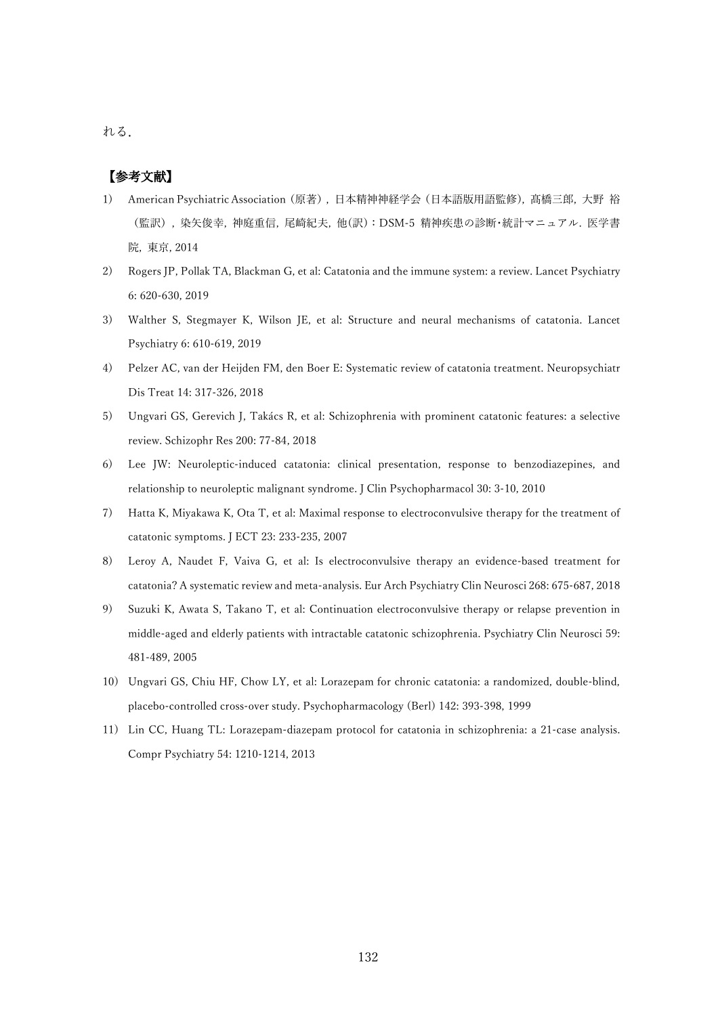れる.

- 1) American Psychiatric Association(原著), 日本精神神経学会(日本語版用語監修), 髙橋三郎, 大野 裕 (監訳), 染矢俊幸, 神庭重信, 尾崎紀夫, 他(訳):DSM-5 精神疾患の診断・統計マニュアル. 医学書 院, 東京, 2014
- 2) Rogers JP, Pollak TA, Blackman G, et al: Catatonia and the immune system: a review. Lancet Psychiatry 6: 620-630, 2019
- 3) Walther S, Stegmayer K, Wilson JE, et al: Structure and neural mechanisms of catatonia. Lancet Psychiatry 6: 610-619, 2019
- 4) Pelzer AC, van der Heijden FM, den Boer E: Systematic review of catatonia treatment. Neuropsychiatr Dis Treat 14: 317-326, 2018
- 5) Ungvari GS, Gerevich J, Takács R, et al: Schizophrenia with prominent catatonic features: a selective review. Schizophr Res 200: 77-84, 2018
- 6) Lee JW: Neuroleptic-induced catatonia: clinical presentation, response to benzodiazepines, and relationship to neuroleptic malignant syndrome. J Clin Psychopharmacol 30: 3-10, 2010
- 7) Hatta K, Miyakawa K, Ota T, et al: Maximal response to electroconvulsive therapy for the treatment of catatonic symptoms. J ECT 23: 233-235, 2007
- 8) Leroy A, Naudet F, Vaiva G, et al: Is electroconvulsive therapy an evidence-based treatment for catatonia? A systematic review and meta-analysis. Eur Arch Psychiatry Clin Neurosci 268: 675-687, 2018
- 9) Suzuki K, Awata S, Takano T, et al: Continuation electroconvulsive therapy or relapse prevention in middle-aged and elderly patients with intractable catatonic schizophrenia. Psychiatry Clin Neurosci 59: 481-489, 2005
- 10) Ungvari GS, Chiu HF, Chow LY, et al: Lorazepam for chronic catatonia: a randomized, double-blind, placebo-controlled cross-over study. Psychopharmacology (Berl) 142: 393-398, 1999
- 11) Lin CC, Huang TL: Lorazepam-diazepam protocol for catatonia in schizophrenia: a 21-case analysis. Compr Psychiatry 54: 1210-1214, 2013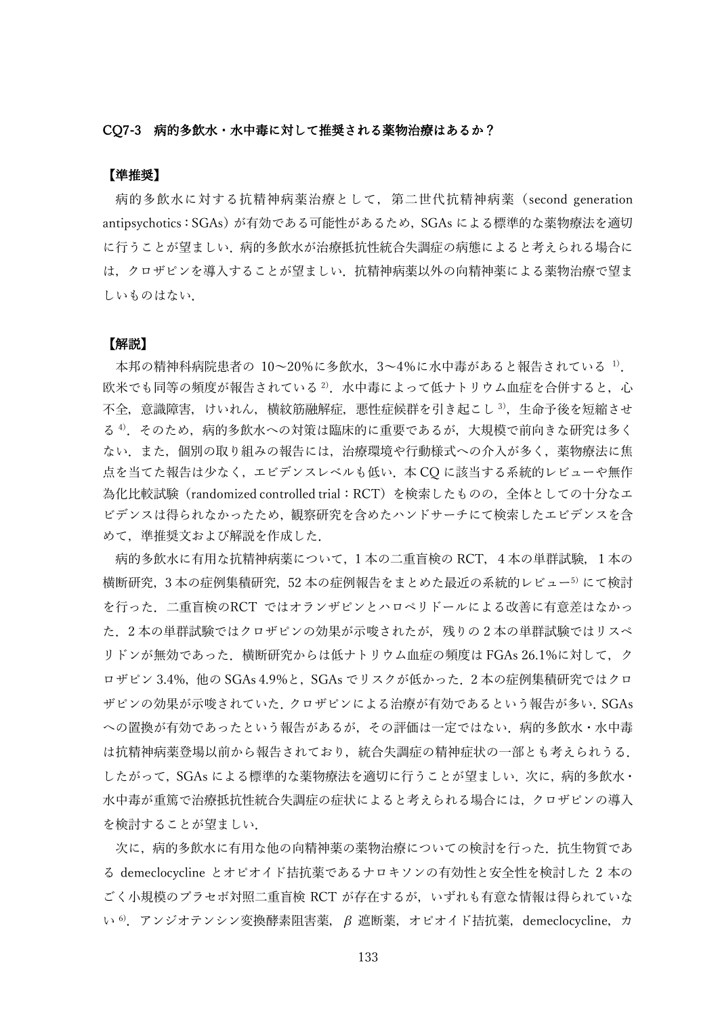#### CQ7-3 病的多飲水・水中毒に対して推奨される薬物治療はあるか?

# 【準推奨】

病的多飲水に対する抗精神病薬治療として,第二世代抗精神病薬(second generation antipsychotics: SGAs) が有効である可能性があるため、SGAs による標準的な薬物療法を適切 に行うことが望ましい.病的多飲水が治療抵抗性統合失調症の病態によると考えられる場合に は,クロザピンを導入することが望ましい.抗精神病薬以外の向精神薬による薬物治療で望ま しいものはない.

### 【解説】

本邦の精神科病院患者の 10~20%に多飲水, 3~4%に水中毒があると報告されている 1). 欧米でも同等の頻度が報告されている<sup>2)</sup>.水中毒によって低ナトリウム血症を合併すると,心 不全,意識障害,けいれん,横紋筋融解症,悪性症候群を引き起こし 3),生命予後を短縮させ る 4). そのため, 病的多飲水への対策は臨床的に重要であるが, 大規模で前向きな研究は多く ない.また,個別の取り組みの報告には,治療環境や行動様式への介入が多く,薬物療法に焦 点を当てた報告は少なく,エビデンスレベルも低い.本 CQ に該当する系統的レビューや無作 為化比較試験(randomized controlled trial:RCT)を検索したものの,全体としての十分なエ ビデンスは得られなかったため,観察研究を含めたハンドサーチにて検索したエビデンスを含 めて,準推奨文および解説を作成した.

病的多飲水に有用な抗精神病薬について,1 本の二重盲検の RCT,4本の単群試験,1本の 横断研究,3 本の症例集積研究,52 本の症例報告をまとめた最近の系統的レビュー<sup>5</sup>)にて検討 を行った.二重盲検のRCT ではオランザピンとハロペリドールによる改善に有意差はなかっ た.2 本の単群試験ではクロザピンの効果が示唆されたが,残りの 2 本の単群試験ではリスペ リドンが無効であった.横断研究からは低ナトリウム血症の頻度は FGAs 26.1%に対して,ク ロザピン 3.4%,他の SGAs 4.9%と, SGAs でリスクが低かった. 2本の症例集積研究ではクロ ザピンの効果が示唆されていた.クロザピンによる治療が有効であるという報告が多い.SGAs への置換が有効であったという報告があるが,その評価は一定ではない.病的多飲水・水中毒 は抗精神病薬登場以前から報告されており,統合失調症の精神症状の一部とも考えられうる. したがって、SGAs による標準的な薬物療法を適切に行うことが望ましい. 次に, 病的多飲水· 水中毒が重篤で治療抵抗性統合失調症の症状によると考えられる場合には,クロザピンの導入 を検討することが望ましい.

次に、病的多飲水に有用な他の向精神薬の薬物治療についての検討を行った.抗生物質であ る demeclocycline とオピオイド拮抗薬であるナロキソンの有効性と安全性を検討した 2 本の ごく小規模のプラセボ対照二重盲検 RCT が存在するが,いずれも有意な情報は得られていな い 6).アンジオテンシン変換酵素阻害薬,β 遮断薬,オピオイド拮抗薬,demeclocycline,カ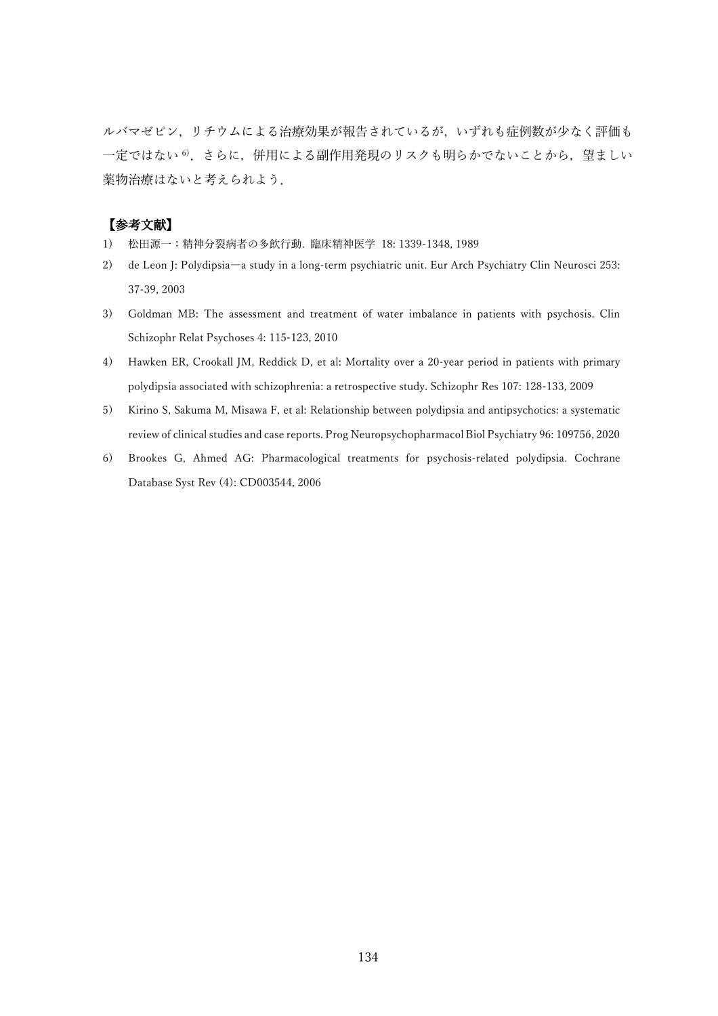ルバマゼピン,リチウムによる治療効果が報告されているが,いずれも症例数が少なく評価も 一定ではない<sup>6</sup>, さらに, 併用による副作用発現のリスクも明らかでないことから, 望ましい 薬物治療はないと考えられよう.

- 1) 松田源一:精神分裂病者の多飲行動. 臨床精神医学 18: 1339-1348, 1989
- 2) de Leon J: Polydipsia―a study in a long-term psychiatric unit. Eur Arch Psychiatry Clin Neurosci 253: 37-39, 2003
- 3) Goldman MB: The assessment and treatment of water imbalance in patients with psychosis. Clin Schizophr Relat Psychoses 4: 115-123, 2010
- 4) Hawken ER, Crookall JM, Reddick D, et al: Mortality over a 20-year period in patients with primary polydipsia associated with schizophrenia: a retrospective study. Schizophr Res 107: 128-133, 2009
- 5) Kirino S, Sakuma M, Misawa F, et al: Relationship between polydipsia and antipsychotics: a systematic review of clinical studies and case reports. Prog Neuropsychopharmacol Biol Psychiatry 96: 109756, 2020
- 6) Brookes G, Ahmed AG: Pharmacological treatments for psychosis-related polydipsia. Cochrane Database Syst Rev (4): CD003544, 2006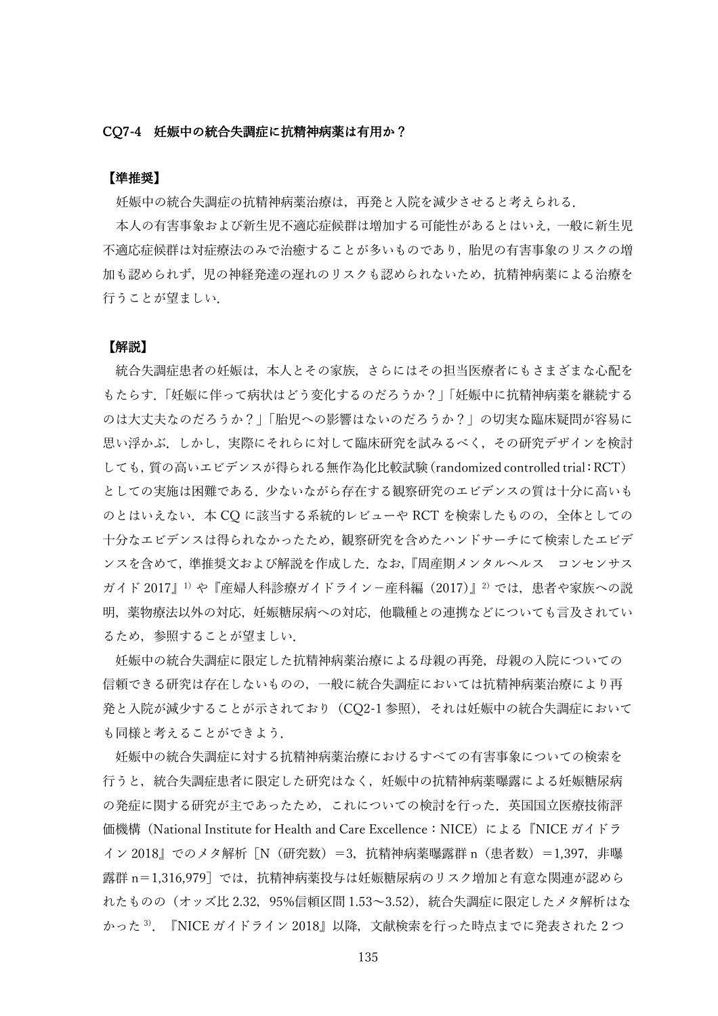## CQ7-4 妊娠中の統合失調症に抗精神病薬は有用か?

# 【準推奨】

妊娠中の統合失調症の抗精神病薬治療は,再発と入院を減少させると考えられる.

本人の有害事象および新生児不適応症候群は増加する可能性があるとはいえ,一般に新生児 不適応症候群は対症療法のみで治癒することが多いものであり,胎児の有害事象のリスクの増 加も認められず,児の神経発達の遅れのリスクも認められないため,抗精神病薬による治療を 行うことが望ましい.

#### 【解説】

統合失調症患者の妊娠は,本人とその家族,さらにはその担当医療者にもさまざまな心配を もたらす.「妊娠に伴って病状はどう変化するのだろうか?」「妊娠中に抗精神病薬を継続する のは大丈夫なのだろうか?」「胎児への影響はないのだろうか?」の切実な臨床疑問が容易に 思い浮かぶ.しかし,実際にそれらに対して臨床研究を試みるべく,その研究デザインを検討 しても,質の高いエビデンスが得られる無作為化比較試験(randomized controlled trial:RCT) としての実施は困難である.少ないながら存在する観察研究のエビデンスの質は十分に高いも のとはいえない. 本 CO に該当する系統的レビューや RCT を検索したものの, 全体としての 十分なエビデンスは得られなかったため,観察研究を含めたハンドサーチにて検索したエビデ ンスを含めて,準推奨文および解説を作成した.なお,『周産期メンタルヘルス コンセンサス ガイド 2017』1)や『産婦人科診療ガイドライン-産科編(2017)』<sup>2)</sup>では、患者や家族への説 明,薬物療法以外の対応,妊娠糖尿病への対応,他職種との連携などについても言及されてい るため,参照することが望ましい.

妊娠中の統合失調症に限定した抗精神病薬治療による母親の再発,母親の入院についての 信頼できる研究は存在しないものの,一般に統合失調症においては抗精神病薬治療により再 発と入院が減少することが示されており(CQ2-1 参照),それは妊娠中の統合失調症において も同様と考えることができよう.

妊娠中の統合失調症に対する抗精神病薬治療におけるすべての有害事象についての検索を 行うと,統合失調症患者に限定した研究はなく,妊娠中の抗精神病薬曝露による妊娠糖尿病 の発症に関する研究が主であったため,これについての検討を行った.英国国立医療技術評 価機構(National Institute for Health and Care Excellence:NICE)による『NICE ガイドラ イン 2018』でのメタ解析「N(研究数)=3,抗精神病薬曝露群 n (患者数) =1,397, 非曝 露群 n=1,316,979]では,抗精神病薬投与は妊娠糖尿病のリスク増加と有意な関連が認めら れたものの(オッズ比 2.32,95%信頼区間 1.53~3.52),統合失調症に限定したメタ解析はな かった<sup>3)</sup>. 『NICE ガイドライン 2018』以降, 文献検索を行った時点までに発表された 2 つ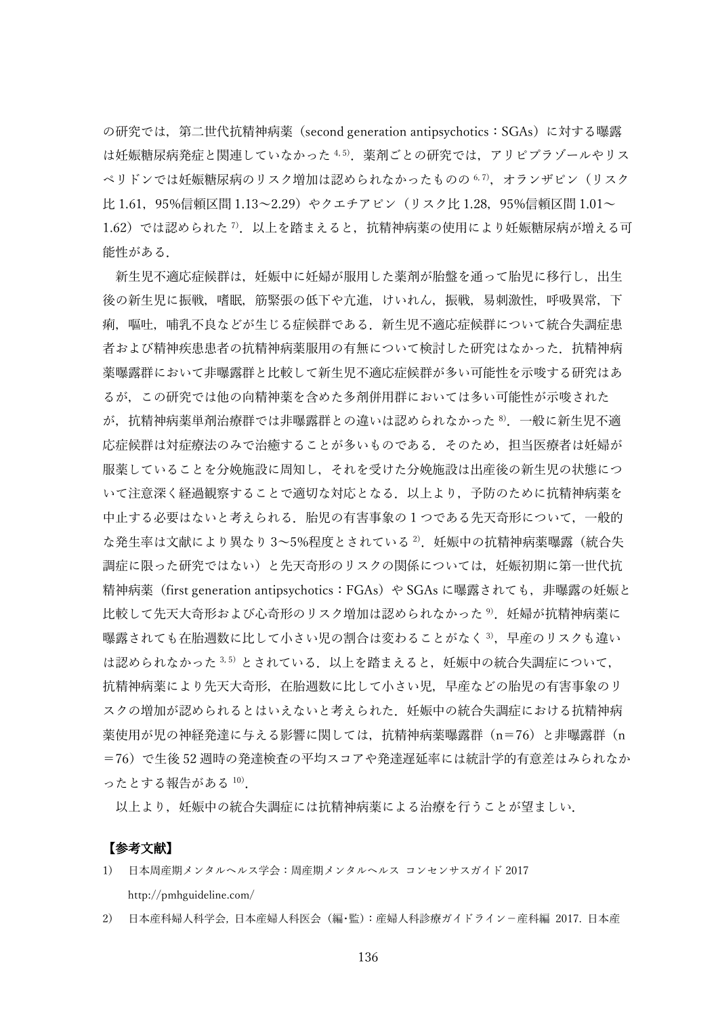の研究では、第二世代抗精神病薬 (second generation antipsychotics: SGAs) に対する曝露 は妊娠糖尿病発症と関連していなかった 4,5). 薬剤ごとの研究では、アリピプラゾールやリス ペリドンでは奷娠糖尿病のリスク増加は認められなかったものの 6,7), オランザピン (リスク 比 1.61, 95%信頼区間 1.13~2.29) やクエチアピン (リスク比 1.28, 95%信頼区間 1.01~  $1.62$ )では認められた  $^7$ .以上を踏まえると,抗精神病薬の使用により妊娠糖尿病が増える可 能性がある.

新生児不適応症候群は、妊娠中に妊婦が服用した薬剤が胎盤を通って胎児に移行し、出生 後の新生児に振戦,嗜眠,筋緊張の低下や亢進,けいれん,振戦,易刺激性,呼吸異常,下 痢,嘔吐,哺乳不良などが生じる症候群である.新生児不適応症候群について統合失調症患 者および精神疾患患者の抗精神病薬服用の有無について検討した研究はなかった.抗精神病 薬曝露群において非曝露群と比較して新生児不適応症候群が多い可能性を示唆する研究はあ るが,この研究では他の向精神薬を含めた多剤併用群においては多い可能性が示唆された が,抗精神病薬単剤治療群では非曝露群との違いは認められなかった <sup>8</sup>).一般に新生児不適 応症候群は対症療法のみで治癒することが多いものである.そのため,担当医療者は妊婦が 服薬していることを分娩施設に周知し,それを受けた分娩施設は出産後の新生児の状態につ いて注意深く経過観察することで適切な対応となる.以上より,予防のために抗精神病薬を 中止する必要はないと考えられる.胎児の有害事象の 1 つである先天奇形について,一般的 な発生率は文献により異なり3~5%程度とされている<sup>2)</sup>.妊娠中の抗精神病薬曝露(統合失 調症に限った研究ではない)と先天奇形のリスクの関係については,妊娠初期に第一世代抗 精神病薬(first generation antipsychotics:FGAs)や SGAs に曝露されても,非曝露の妊娠と 比較して先天大奇形および心奇形のリスク増加は認められなかった<sup>9)</sup>.妊娠婦が抗精神病薬に 曝露されても在胎週数に比して小さい児の割合は変わることがなく<sup>3)</sup>,早産のリスクも違い は認められなかった 3,5) とされている. 以上を踏まえると、妊娠中の統合失調症について, 抗精神病薬により先天大奇形,在胎週数に比して小さい児,早産などの胎児の有害事象のリ スクの増加が認められるとはいえないと考えられた. 奸娠中の統合失調症における抗精神病 薬使用が児の神経発達に与える影響に関しては,抗精神病薬曝露群(n=76)と非曝露群(n =76)で生後 52 週時の発達検査の平均スコアや発達遅延率には統計学的有意差はみられなか ったとする報告がある <sup>10</sup>).

以上より,妊娠中の統合失調症には抗精神病薬による治療を行うことが望ましい.

- 1) 日本周産期メンタルヘルス学会:周産期メンタルヘルス コンセンサスガイド 2017 http://pmhguideline.com/
- 2) 日本産科婦人科学会, 日本産婦人科医会(編・監):産婦人科診療ガイドライン-産科編 2017. 日本産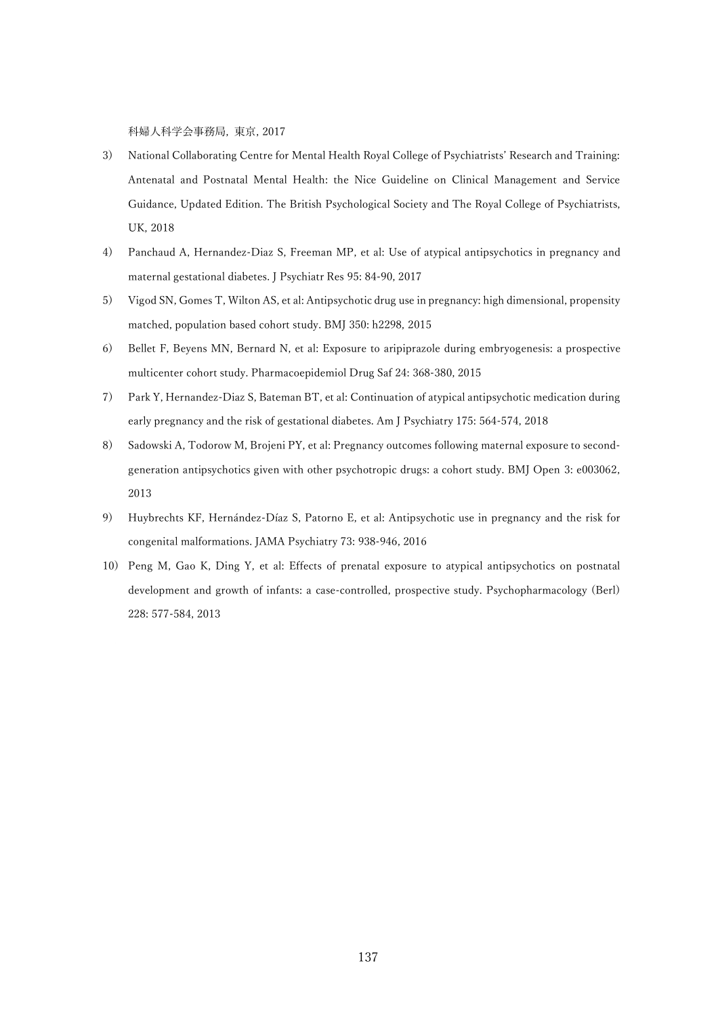科婦人科学会事務局, 東京, 2017

- 3) National Collaborating Centre for Mental Health Royal College of Psychiatrists' Research and Training: Antenatal and Postnatal Mental Health: the Nice Guideline on Clinical Management and Service Guidance, Updated Edition. The British Psychological Society and The Royal College of Psychiatrists, UK, 2018
- 4) Panchaud A, Hernandez-Diaz S, Freeman MP, et al: Use of atypical antipsychotics in pregnancy and maternal gestational diabetes. J Psychiatr Res 95: 84-90, 2017
- 5) Vigod SN, Gomes T, Wilton AS, et al: Antipsychotic drug use in pregnancy: high dimensional, propensity matched, population based cohort study. BMJ 350: h2298, 2015
- 6) Bellet F, Beyens MN, Bernard N, et al: Exposure to aripiprazole during embryogenesis: a prospective multicenter cohort study. Pharmacoepidemiol Drug Saf 24: 368-380, 2015
- 7) Park Y, Hernandez-Diaz S, Bateman BT, et al: Continuation of atypical antipsychotic medication during early pregnancy and the risk of gestational diabetes. Am J Psychiatry 175: 564-574, 2018
- 8) Sadowski A, Todorow M, Brojeni PY, et al: Pregnancy outcomes following maternal exposure to secondgeneration antipsychotics given with other psychotropic drugs: a cohort study. BMJ Open 3: e003062, 2013
- 9) Huybrechts KF, Hernández-Díaz S, Patorno E, et al: Antipsychotic use in pregnancy and the risk for congenital malformations. JAMA Psychiatry 73: 938-946, 2016
- 10) Peng M, Gao K, Ding Y, et al: Effects of prenatal exposure to atypical antipsychotics on postnatal development and growth of infants: a case-controlled, prospective study. Psychopharmacology (Berl) 228: 577-584, 2013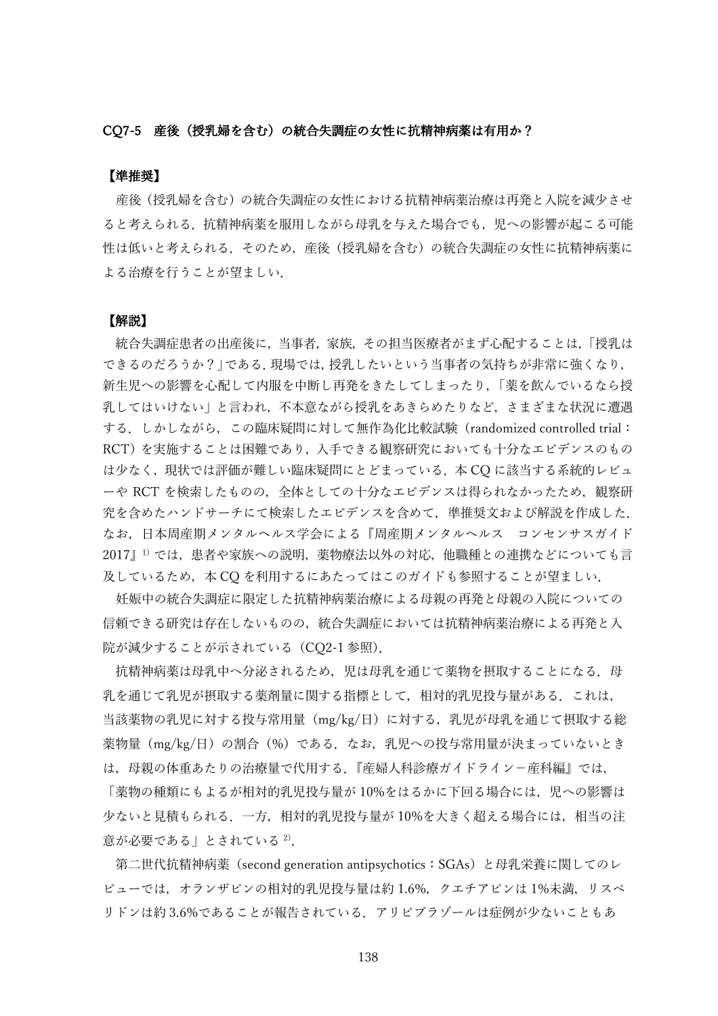### CQ7-5 産後(授乳婦を含む)の統合失調症の女性に抗精神病薬は有用か?

## 【準推奨】

産後(授乳婦を含む)の統合失調症の女性における抗精神病薬治療は再発と入院を減少させ ると考えられる. 抗精神病薬を服用しながら母乳を与えた場合でも, 児への影響が起こる可能 性は低いと考えられる.そのため,産後(授乳婦を含む)の統合失調症の女性に抗精神病薬に よる治療を行うことが望ましい.

## 【解説】

統合失調症患者の出産後に,当事者,家族,その担当医療者がまず心配することは,「授乳は できるのだろうか?」である. 現場では, 授乳したいという当事者の気持ちが非常に強くなり, 新生児への影響を心配して内服を中断し再発をきたしてしまったり,「薬を飲んでいるなら授 乳してはいけない」と言われ,不本意ながら授乳をあきらめたりなど,さまざまな状況に遭遇 する.しかしながら,この臨床疑問に対して無作為化比較試験(randomized controlled trial: RCT)を実施することは困難であり,入手できる観察研究においても十分なエビデンスのもの は少なく,現状では評価が難しい臨床疑問にとどまっている.本 CQ に該当する系統的レビュ ーや RCT を検索したものの,全体としての十分なエビデンスは得られなかったため,観察研 究を含めたハンドサーチにて検索したエビデンスを含めて,準推奨文および解説を作成した. なお,日本周産期メンタルヘルス学会による『周産期メンタルヘルス コンセンサスガイド 2017』1)では、患者や家族への説明、薬物療法以外の対応、他職種との連携などについても言 及しているため、本 CQ を利用するにあたってはこのガイドも参照することが望ましい.

妊娠中の統合失調症に限定した抗精神病薬治療による母親の再発と母親の入院についての 信頼できる研究は存在しないものの,統合失調症においては抗精神病薬治療による再発と入 院が減少することが示されている(CQ2-1 参照).

抗精神病薬は母乳中へ分泌されるため、児は母乳を通じて薬物を摂取することになる.母 乳を通じて乳児が摂取する薬剤量に関する指標として,相対的乳児投与量がある.これは, 当該薬物の乳児に対する投与常用量(mg/kg/日)に対する,乳児が母乳を通じて摂取する総 薬物量(mg/kg/日)の割合(%)である. なお, 乳児への投与常用量が決まっていないとき は,母親の体重あたりの治療量で代用する.『産婦人科診療ガイドライン-産科編』では,

「薬物の種類にもよるが相対的乳児投与量が 10%をはるかに下回る場合には,児への影響は 少ないと見積もられる.一方,相対的乳児投与量が 10%を大きく超える場合には,相当の注 意が必要である」とされている 2).

第二世代抗精神病薬(second generation antipsychotics:SGAs)と母乳栄養に関してのレ ビューでは,オランザピンの相対的乳児投与量は約 1.6%,クエチアピンは 1%未満,リスペ リドンは約 3.6%であることが報告されている.アリピプラゾールは症例が少ないこともあ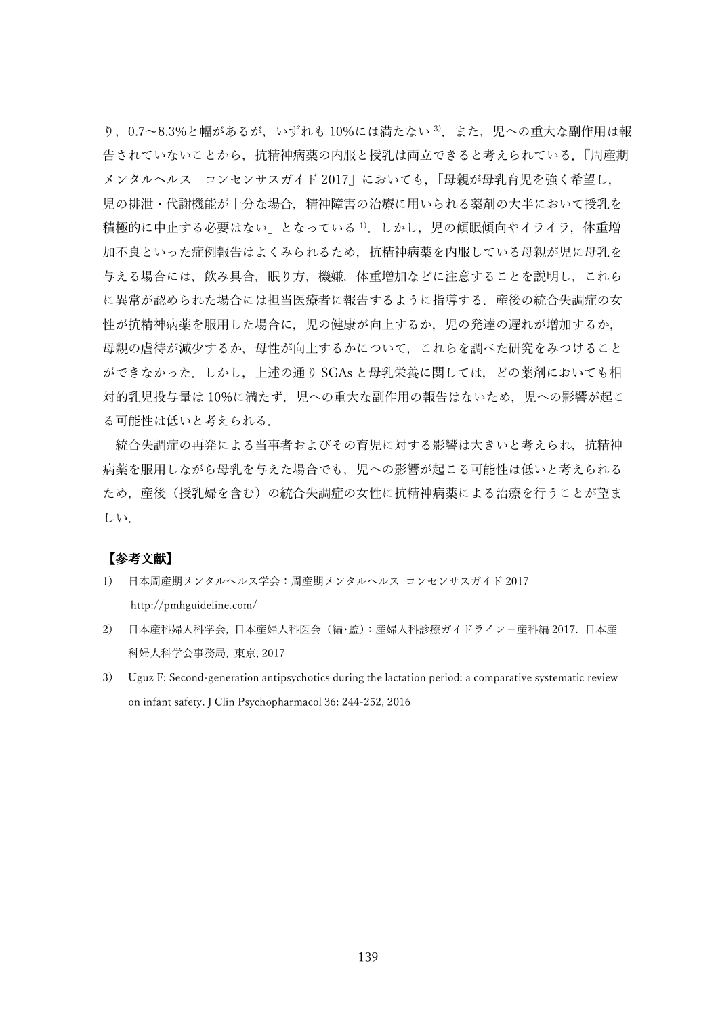り, 0.7~8.3%と幅があるが, いずれも 10%には満たない<sup>3)</sup>. また, 児への重大な副作用は報 告されていないことから,抗精神病薬の内服と授乳は両立できると考えられている.『周産期 メンタルヘルス コンセンサスガイド 2017』においても,「母親が母乳育児を強く希望し, 児の排泄・代謝機能が十分な場合,精神障害の治療に用いられる薬剤の大半において授乳を 積極的に中止する必要はない」となっている<sup>1)</sup>. しかし, 児の傾眠傾向やイライラ, 体重増 加不良といった症例報告はよくみられるため,抗精神病薬を内服している母親が児に母乳を 与える場合には,飲み具合,眠り方,機嫌,体重増加などに注意することを説明し,これら に異常が認められた場合には担当医療者に報告するように指導する. 産後の統合失調症の女 性が抗精神病薬を服用した場合に,児の健康が向上するか,児の発達の遅れが増加するか, 母親の虐待が減少するか,母性が向上するかについて,これらを調べた研究をみつけること ができなかった.しかし,上述の通り SGAs と母乳栄養に関しては,どの薬剤においても相 対的乳児投与量は10%に満たず、児への重大な副作用の報告はないため、児への影響が起こ る可能性は低いと考えられる.

統合失調症の再発による当事者およびその育児に対する影響は大きいと考えられ、抗精神 病薬を服用しながら母乳を与えた場合でも,児への影響が起こる可能性は低いと考えられる ため,産後(授乳婦を含む)の統合失調症の女性に抗精神病薬による治療を行うことが望ま しい.

- 1) 日本周産期メンタルヘルス学会:周産期メンタルヘルス コンセンサスガイド 2017 <http://pmhguideline.com/>
- 2) 日本産科婦人科学会, 日本産婦人科医会(編・監):産婦人科診療ガイドライン-産科編 2017. 日本産 科婦人科学会事務局, 東京, 2017
- 3) Uguz F: Second-generation antipsychotics during the lactation period: a comparative systematic review on infant safety. J Clin Psychopharmacol 36: 244-252, 2016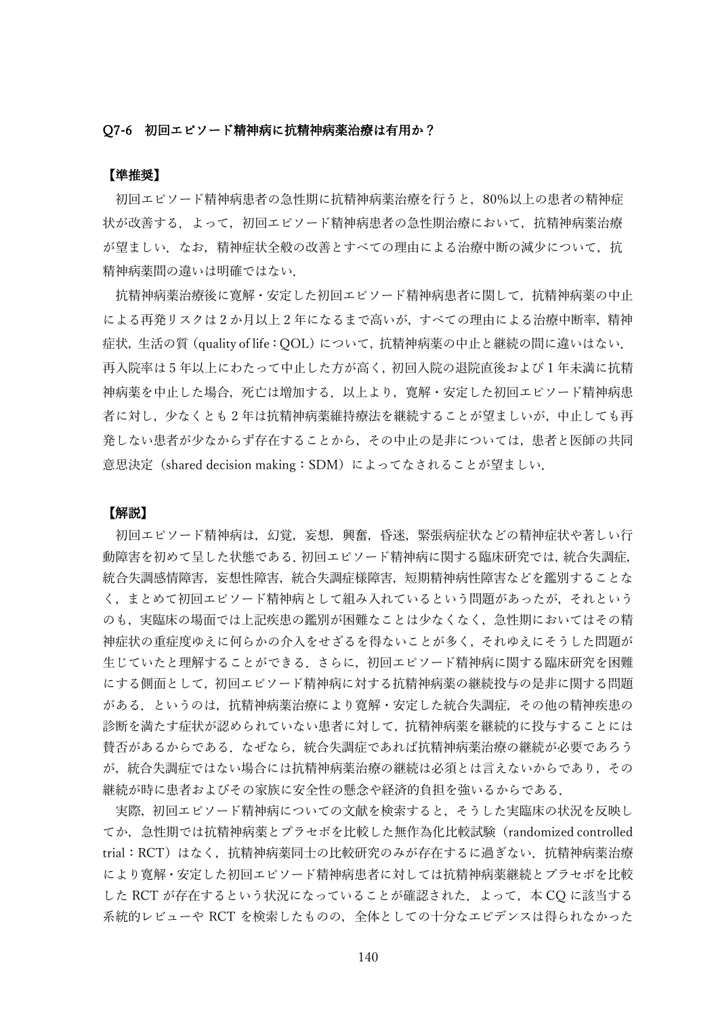#### Q7-6 初回エピソード精神病に抗精神病薬治療は有用か?

# 【準推奨】

初回エピソード精神病患者の急性期に抗精神病薬治療を行うと,80%以上の患者の精神症 状が改善する.よって,初回エピソード精神病患者の急性期治療において,抗精神病薬治療 が望ましい.なお,精神症状全般の改善とすべての理由による治療中断の減少について,抗 精神病薬間の違いは明確ではない.

抗精神病薬治療後に寛解・安定した初回エピソード精神病患者に関して,抗精神病薬の中止 による再発リスクは 2 か月以上 2 年になるまで高いが,すべての理由による治療中断率,精神 症状、生活の質 (quality of life: OOL) について、抗精神病薬の中止と継続の間に違いはない. 再入院率は 5 年以上にわたって中止した方が高く,初回入院の退院直後および 1 年未満に抗精 神病薬を中止した場合,死亡は増加する.以上より,寛解・安定した初回エピソード精神病患 者に対し,少なくとも 2 年は抗精神病薬維持療法を継続することが望ましいが,中止しても再 発しない患者が少なからず存在することから,その中止の是非については,患者と医師の共同 意思決定(shared decision making:SDM)によってなされることが望ましい.

### 【解説】

初回エピソード精神病は,幻覚,妄想,興奮,昏迷,緊張病症状などの精神症状や著しい行 動障害を初めて呈した状態である.初回エピソード精神病に関する臨床研究では,統合失調症, 統合失調感情障害,妄想性障害,統合失調症様障害,短期精神病性障害などを鑑別することな く,まとめて初回エピソード精神病として組み入れているという問題があったが,それという のも、実臨床の場面では上記疾患の鑑別が困難なことは少なくなく、急性期においてはその精 神症状の重症度ゆえに何らかの介入をせざるを得ないことが多く,それゆえにそうした問題が 生じていたと理解することができる.さらに,初回エピソード精神病に関する臨床研究を困難 にする側面として,初回エピソード精神病に対する抗精神病薬の継続投与の是非に関する問題 がある.というのは,抗精神病薬治療により寛解・安定した統合失調症,その他の精神疾患の 診断を満たす症状が認められていない患者に対して,抗精神病薬を継続的に投与することには 賛否があるからである.なぜなら,統合失調症であれば抗精神病薬治療の継続が必要であろう が,統合失調症ではない場合には抗精神病薬治療の継続は必須とは言えないからであり,その 継続が時に患者およびその家族に安全性の懸念や経済的負担を強いるからである.

実際,初回エピソード精神病についての文献を検索すると,そうした実臨床の状況を反映し てか,急性期では抗精神病薬とプラセボを比較した無作為化比較試験(randomized controlled trial: RCT)はなく、抗精神病薬同士の比較研究のみが存在するに過ぎない. 抗精神病薬治療 により寛解・安定した初回エピソード精神病患者に対しては抗精神病薬継続とプラセボを比較 した RCT が存在するという状況になっていることが確認された. よって、本 CO に該当する 系統的レビューや RCT を検索したものの,全体としての十分なエビデンスは得られなかった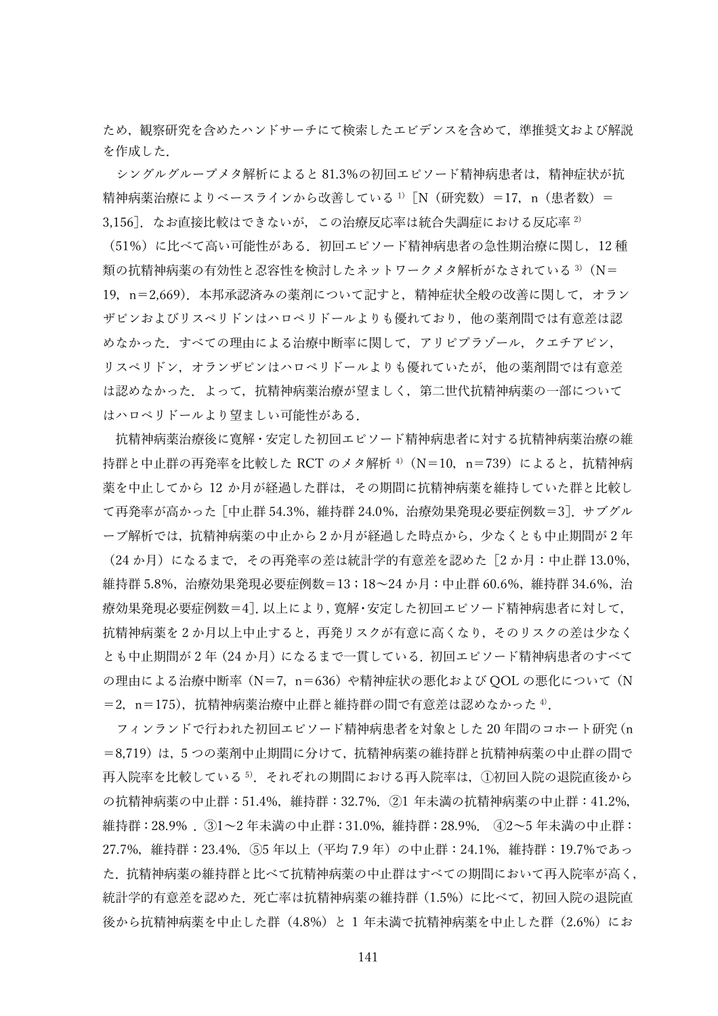ため、観察研究を含めたハンドサーチにて検索したエビデンスを含めて、準推奨文および解説 を作成した.

シングルグループメタ解析によると 81.3%の初回エピソード精神病患者は,精神症状が抗 精神病薬治療によりベースラインから改善している
<sup>1)</sup> [N (研究数) = 17, n (患者数) = 3,156]. なお直接比較はできないが、この治療反応率は統合失調症における反応率 2)

(51%)に比べて高い可能性がある.初回エピソード精神病患者の急性期治療に関し,12 種 類の抗精神病薬の有効性と忍容性を検討したネットワークメタ解析がなされている<sup>3)</sup>(N= 19,n=2,669).本邦承認済みの薬剤について記すと,精神症状全般の改善に関して,オラン ザピンおよびリスペリドンはハロペリドールよりも優れており,他の薬剤間では有意差は認 めなかった. すべての理由による治療中断率に関して, アリピプラゾール, クエチアピン, リスペリドン,オランザピンはハロペリドールよりも優れていたが,他の薬剤間では有意差 は認めなかった.よって,抗精神病薬治療が望ましく,第二世代抗精神病薬の一部について はハロペリドールより望ましい可能性がある.

抗精神病薬治療後に寛解・安定した初回エピソード精神病患者に対する抗精神病薬治療の維 持群と中止群の再発率を比較した RCT のメタ解析<sup>4)</sup> (N=10, n=739) によると, 抗精神病 薬を中止してから 12 か月が経過した群は,その期間に抗精神病薬を維持していた群と比較し て再発率が高かった[中止群 54.3%,維持群 24.0%,治療効果発現必要症例数=3].サブグル ープ解析では,抗精神病薬の中止から2か月が経過した時点から,少なくとも中止期間が 2 年 (24か月)になるまで、その再発率の差は統計学的有意差を認めた [2 か月:中止群 13.0%, 維持群 5.8%,治療効果発現必要症例数=13;18~24 か月:中止群 60.6%,維持群 34.6%,治 療効果発現必要症例数=4]. 以上により, 寛解・安定した初回エピソード精神病患者に対して, 抗精神病薬を 2 か月以上中止すると,再発リスクが有意に高くなり,そのリスクの差は少なく とも中止期間が2年(24か月)になるまで一貫している. 初回エピソード精神病患者のすべて の理由による治療中断率(N=7, n=636)や精神症状の悪化および QOL の悪化について(N =2,n=175),抗精神病薬治療中止群と維持群の間で有意差は認めなかった <sup>4</sup>).

フィンランドで行われた初回エピソード精神病患者を対象とした 20 年間のコホート研究(n =8,719)は、5つの薬剤中止期間に分けて、抗精神病薬の維持群と抗精神病薬の中止群の間で 再入院率を比較している <sup>5</sup>).それぞれの期間における再入院率は,①初回入院の退院直後から の抗精神病薬の中止群:51.4%,維持群:32.7%.②1 年未満の抗精神病薬の中止群:41.2%, 維持群:28.9% .③1~2 年未満の中止群:31.0%,維持群:28.9%. ④2~5 年未満の中止群: 27.7%,維持群:23.4%.⑤5 年以上(平均 7.9 年)の中止群:24.1%,維持群:19.7%であっ た.抗精神病薬の維持群と比べて抗精神病薬の中止群はすべての期間において再入院率が高く, 統計学的有意差を認めた.死亡率は抗精神病薬の維持群(1.5%)に比べて,初回入院の退院直 後から抗精神病薬を中止した群(4.8%)と 1 年未満で抗精神病薬を中止した群(2.6%)にお

141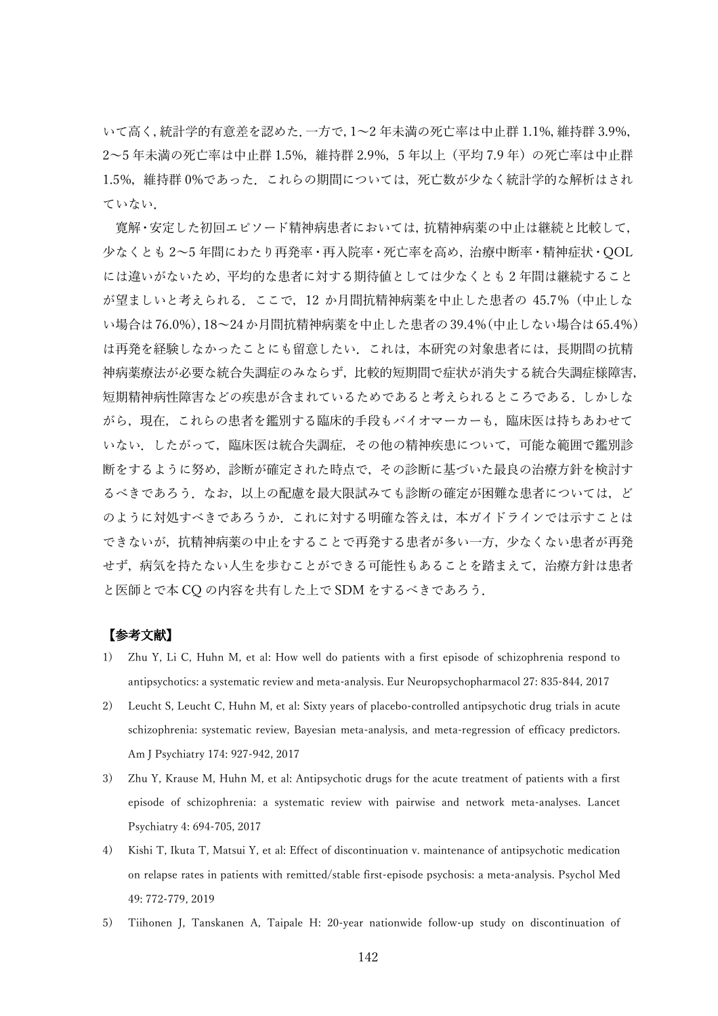いて高く,統計学的有意差を認めた.一方で,1~2 年未満の死亡率は中止群 1.1%,維持群 3.9%, 2~5 年未満の死亡率は中止群 1.5%,維持群 2.9%,5 年以上(平均 7.9 年)の死亡率は中止群 1.5%, 維持群 0%であった. これらの期間については, 死亡数が少なく統計学的な解析はされ ていない.

寛解・安定した初回エピソード精神病患者においては,抗精神病薬の中止は継続と比較して, 少なくとも 2~5 年間にわたり再発率・再入院率・死亡率を高め,治療中断率・精神症状・QOL には違いがないため,平均的な患者に対する期待値としては少なくとも 2 年間は継続すること が望ましいと考えられる.ここで,12 か月間抗精神病薬を中止した患者の 45.7%(中止しな い場合は76.0%),18~24か月間抗精神病薬を中止した患者の39.4%(中止しない場合は65.4%) は再発を経験しなかったことにも留意したい.これは,本研究の対象患者には,長期間の抗精 神病薬療法が必要な統合失調症のみならず,比較的短期間で症状が消失する統合失調症様障害, 短期精神病性障害などの疾患が含まれているためであると考えられるところである. しかしな がら,現在,これらの患者を鑑別する臨床的手段もバイオマーカーも,臨床医は持ちあわせて いない.したがって,臨床医は統合失調症,その他の精神疾患について,可能な範囲で鑑別診 断をするように努め,診断が確定された時点で,その診断に基づいた最良の治療方針を検討す るべきであろう.なお,以上の配慮を最大限試みても診断の確定が困難な患者については,ど のように対処すべきであろうか.これに対する明確な答えは,本ガイドラインでは示すことは できないが,抗精神病薬の中止をすることで再発する患者が多い一方,少なくない患者が再発 せず,病気を持たない人生を歩むことができる可能性もあることを踏まえて,治療方針は患者 と医師とで本 CQ の内容を共有した上で SDM をするべきであろう.

- 1) Zhu Y, Li C, Huhn M, et al: How well do patients with a first episode of schizophrenia respond to antipsychotics: a systematic review and meta-analysis. Eur Neuropsychopharmacol 27: 835-844, 2017
- 2) Leucht S, Leucht C, Huhn M, et al: Sixty years of placebo-controlled antipsychotic drug trials in acute schizophrenia: systematic review, Bayesian meta-analysis, and meta-regression of efficacy predictors. Am J Psychiatry 174: 927-942, 2017
- 3) Zhu Y, Krause M, Huhn M, et al: Antipsychotic drugs for the acute treatment of patients with a first episode of schizophrenia: a systematic review with pairwise and network meta-analyses. Lancet Psychiatry 4: 694-705, 2017
- 4) Kishi T, Ikuta T, Matsui Y, et al: Effect of discontinuation v. maintenance of antipsychotic medication on relapse rates in patients with remitted/stable first-episode psychosis: a meta-analysis. Psychol Med 49: 772-779, 2019
- 5) Tiihonen J, Tanskanen A, Taipale H: 20-year nationwide follow-up study on discontinuation of